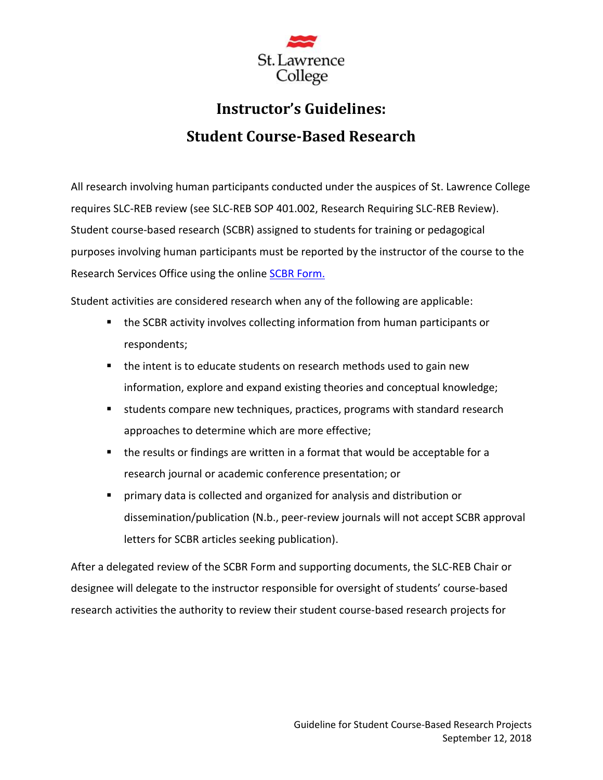

# **Instructor's Guidelines: Student Course-Based Research**

All research involving human participants conducted under the auspices of St. Lawrence College requires SLC-REB review (see SLC-REB SOP 401.002, Research Requiring SLC-REB Review). Student course-based research (SCBR) assigned to students for training or pedagogical purposes involving human participants must be reported by the instructor of the course to the Research Services Office using the online **SCBR Form.** 

Student activities are considered research when any of the following are applicable:

- the SCBR activity involves collecting information from human participants or respondents;
- the intent is to educate students on research methods used to gain new information, explore and expand existing theories and conceptual knowledge;
- students compare new techniques, practices, programs with standard research approaches to determine which are more effective;
- the results or findings are written in a format that would be acceptable for a research journal or academic conference presentation; or
- primary data is collected and organized for analysis and distribution or dissemination/publication (N.b., peer-review journals will not accept SCBR approval letters for SCBR articles seeking publication).

After a delegated review of the SCBR Form and supporting documents, the SLC-REB Chair or designee will delegate to the instructor responsible for oversight of students' course-based research activities the authority to review their student course-based research projects for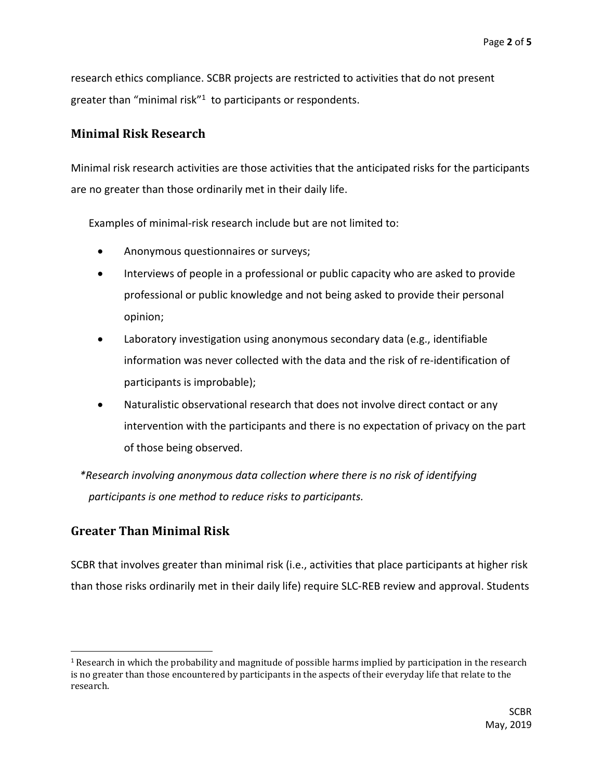research ethics compliance. SCBR projects are restricted to activities that do not present greater than "minimal risk"<sup>1</sup> to participants or respondents.

#### **Minimal Risk Research**

Minimal risk research activities are those activities that the anticipated risks for the participants are no greater than those ordinarily met in their daily life.

Examples of minimal-risk research include but are not limited to:

- Anonymous questionnaires or surveys;
- Interviews of people in a professional or public capacity who are asked to provide professional or public knowledge and not being asked to provide their personal opinion;
- Laboratory investigation using anonymous secondary data (e.g., identifiable information was never collected with the data and the risk of re-identification of participants is improbable);
- Naturalistic observational research that does not involve direct contact or any intervention with the participants and there is no expectation of privacy on the part of those being observed.

*\*Research involving anonymous data collection where there is no risk of identifying participants is one method to reduce risks to participants.*

## **Greater Than Minimal Risk**

SCBR that involves greater than minimal risk (i.e., activities that place participants at higher risk than those risks ordinarily met in their daily life) require SLC-REB review and approval. Students

 $1$  Research in which the probability and magnitude of possible harms implied by participation in the research is no greater than those encountered by participants in the aspects of their everyday life that relate to the research.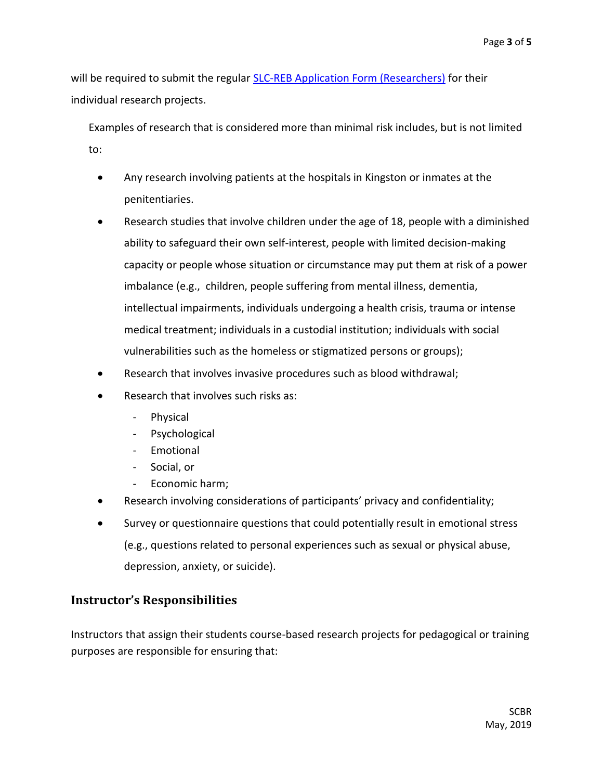will be required to submit the regular SLC-REB Application Form (Researchers) for their individual research projects.

Examples of research that is considered more than minimal risk includes, but is not limited to:

- Any research involving patients at the hospitals in Kingston or inmates at the penitentiaries.
- Research studies that involve children under the age of 18, people with a diminished ability to safeguard their own self-interest, people with limited decision-making capacity or people whose situation or circumstance may put them at risk of a power imbalance (e.g., children, people suffering from mental illness, dementia, intellectual impairments, individuals undergoing a health crisis, trauma or intense medical treatment; individuals in a custodial institution; individuals with social vulnerabilities such as the homeless or stigmatized persons or groups);
- Research that involves invasive procedures such as blood withdrawal;
- Research that involves such risks as:
	- Physical
	- Psychological
	- Emotional
	- Social, or
	- Economic harm;
- Research involving considerations of participants' privacy and confidentiality;
- Survey or questionnaire questions that could potentially result in emotional stress (e.g., questions related to personal experiences such as sexual or physical abuse, depression, anxiety, or suicide).

## **Instructor's Responsibilities**

Instructors that assign their students course-based research projects for pedagogical or training purposes are responsible for ensuring that: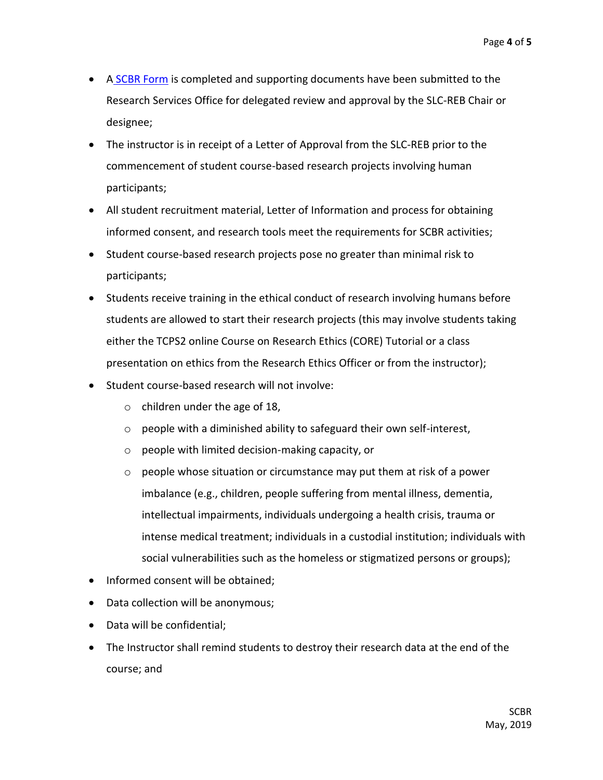- A SCBR Form is completed and supporting documents have been submitted to the Research Services Office for delegated review and approval by the SLC-REB Chair or designee;
- The instructor is in receipt of a Letter of Approval from the SLC-REB prior to the commencement of student course-based research projects involving human participants;
- All student recruitment material, Letter of Information and process for obtaining informed consent, and research tools meet the requirements for SCBR activities;
- Student course-based research projects pose no greater than minimal risk to participants;
- Students receive training in the ethical conduct of research involving humans before students are allowed to start their research projects (this may involve students taking either the TCPS2 online Course on Research Ethics (CORE) Tutorial or a class presentation on ethics from the Research Ethics Officer or from the instructor);
- Student course-based research will not involve:
	- $\circ$  children under the age of 18,
	- $\circ$  people with a diminished ability to safeguard their own self-interest,
	- o people with limited decision-making capacity, or
	- o people whose situation or circumstance may put them at risk of a power imbalance (e.g., children, people suffering from mental illness, dementia, intellectual impairments, individuals undergoing a health crisis, trauma or intense medical treatment; individuals in a custodial institution; individuals with social vulnerabilities such as the homeless or stigmatized persons or groups);
- Informed consent will be obtained;
- Data collection will be anonymous;
- Data will be confidential;
- The Instructor shall remind students to destroy their research data at the end of the course; and